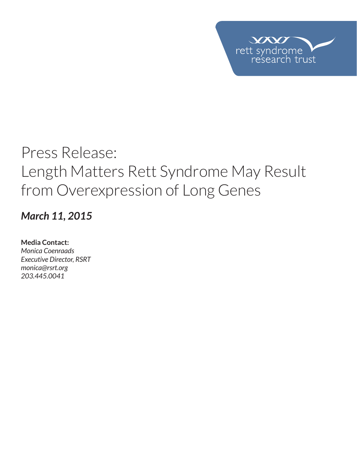

## *March 11, 2015*

**Media Contact:**  *Monica Coenraads Executive Director, RSRT monica@rsrt.org 203.445.0041*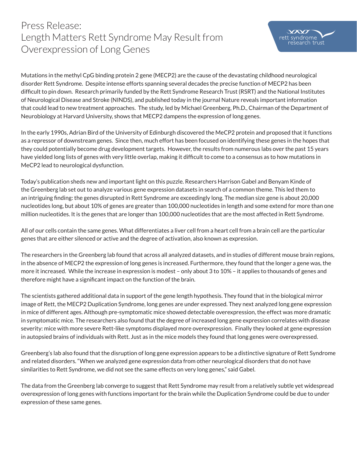

Mutations in the methyl CpG binding protein 2 gene (MECP2) are the cause of the devastating childhood neurological disorder Rett Syndrome. Despite intense efforts spanning several decades the precise function of MECP2 has been difficult to pin down. Research primarily funded by the Rett Syndrome Research Trust (RSRT) and the National Institutes of Neurological Disease and Stroke (NINDS), and published today in the journal Nature reveals important information that could lead to new treatment approaches. The study, led by Michael Greenberg, Ph.D., Chairman of the Department of Neurobiology at Harvard University, shows that MECP2 dampens the expression of long genes.

In the early 1990s, Adrian Bird of the University of Edinburgh discovered the MeCP2 protein and proposed that it functions as a repressor of downstream genes. Since then, much effort has been focused on identifying these genes in the hopes that they could potentially become drug development targets. However, the results from numerous labs over the past 15 years have yielded long lists of genes with very little overlap, making it difficult to come to a consensus as to how mutations in MeCP2 lead to neurological dysfunction.

Today's publication sheds new and important light on this puzzle. Researchers Harrison Gabel and Benyam Kinde of the Greenberg lab set out to analyze various gene expression datasets in search of a common theme. This led them to an intriguing finding: the genes disrupted in Rett Syndrome are exceedingly long. The median size gene is about 20,000 nucleotides long, but about 10% of genes are greater than 100,000 nucleotides in length and some extend for more than one million nucleotides. It is the genes that are longer than 100,000 nucleotides that are the most affected in Rett Syndrome.

All of our cells contain the same genes. What differentiates a liver cell from a heart cell from a brain cell are the particular genes that are either silenced or active and the degree of activation, also known as expression.

The researchers in the Greenberg lab found that across all analyzed datasets, and in studies of different mouse brain regions, in the absence of MECP2 the expression of long genes is increased. Furthermore, they found that the longer a gene was, the more it increased. While the increase in expression is modest – only about 3 to 10% – it applies to thousands of genes and therefore might have a significant impact on the function of the brain.

The scientists gathered additional data in support of the gene length hypothesis. They found that in the biological mirror image of Rett, the MECP2 Duplication Syndrome, long genes are under expressed. They next analyzed long gene expression in mice of different ages. Although pre-symptomatic mice showed detectable overexpression, the effect was more dramatic in symptomatic mice. The researchers also found that the degree of increased long gene expression correlates with disease severity: mice with more severe Rett-like symptoms displayed more overexpression. Finally they looked at gene expression in autopsied brains of individuals with Rett. Just as in the mice models they found that long genes were overexpressed.

Greenberg's lab also found that the disruption of long gene expression appears to be a distinctive signature of Rett Syndrome and related disorders. "When we analyzed gene expression data from other neurological disorders that do not have similarities to Rett Syndrome, we did not see the same effects on very long genes," said Gabel.

The data from the Greenberg lab converge to suggest that Rett Syndrome may result from a relatively subtle yet widespread overexpression of long genes with functions important for the brain while the Duplication Syndrome could be due to under expression of these same genes.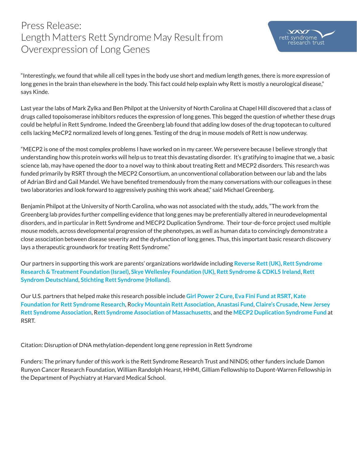

"Interestingly, we found that while all cell types in the body use short and medium length genes, there is more expression of long genes in the brain than elsewhere in the body. This fact could help explain why Rett is mostly a neurological disease," says Kinde.

Last year the labs of Mark Zylka and Ben Philpot at the University of North Carolina at Chapel Hill discovered that a class of drugs called topoisomerase inhibitors reduces the expression of long genes. This begged the question of whether these drugs could be helpful in Rett Syndrome. Indeed the Greenberg lab found that adding low doses of the drug topotecan to cultured cells lacking MeCP2 normalized levels of long genes. Testing of the drug in mouse models of Rett is now underway.

"MECP2 is one of the most complex problems I have worked on in my career. We persevere because I believe strongly that understanding how this protein works will help us to treat this devastating disorder. It's gratifying to imagine that we, a basic science lab, may have opened the door to a novel way to think about treating Rett and MECP2 disorders. This research was funded primarily by RSRT through the MECP2 Consortium, an unconventional collaboration between our lab and the labs of Adrian Bird and Gail Mandel. We have benefited tremendously from the many conversations with our colleagues in these two laboratories and look forward to aggressively pushing this work ahead," said Michael Greenberg.

Benjamin Philpot at the University of North Carolina, who was not associated with the study, adds, "The work from the Greenberg lab provides further compelling evidence that long genes may be preferentially altered in neurodevelopmental disorders, and in particular in Rett Syndrome and MECP2 Duplication Syndrome. Their tour-de-force project used multiple mouse models, across developmental progression of the phenotypes, as well as human data to convincingly demonstrate a close association between disease severity and the dysfunction of long genes. Thus, this important basic research discovery lays a therapeutic groundwork for treating Rett Syndrome."

Our partners in supporting this work are parents' organizations worldwide including **Reverse Rett (UK)**, **Rett Syndrome Research & Treatment Foundation (Israel)**, **Skye Wellesley Foundation (UK)**, **Rett Syndrome & CDKL5 Ireland**, **Rett Syndrom Deutschland**, **Stichting Rett Syndrome (Holland)**.

Our U.S. partners that helped make this research possible include **Girl Power 2 Cure**, **Eva Fini Fund at RSRT**, **Kate Foundation for Rett Syndrome Research**, R**ocky Mountain Rett Association**, **Anastasi Fund**, **Claire's Crusade**, **New Jersey Rett Syndrome Association**, R**ett Syndrome Association of Massachusetts**, and the **MECP2 Duplication Syndrome Fund** at RSRT.

Citation: Disruption of DNA methylation-dependent long gene repression in Rett Syndrome

Funders: The primary funder of this work is the Rett Syndrome Research Trust and NINDS; other funders include Damon Runyon Cancer Research Foundation, William Randolph Hearst, HHMI, Gilliam Fellowship to Dupont-Warren Fellowship in the Department of Psychiatry at Harvard Medical School.